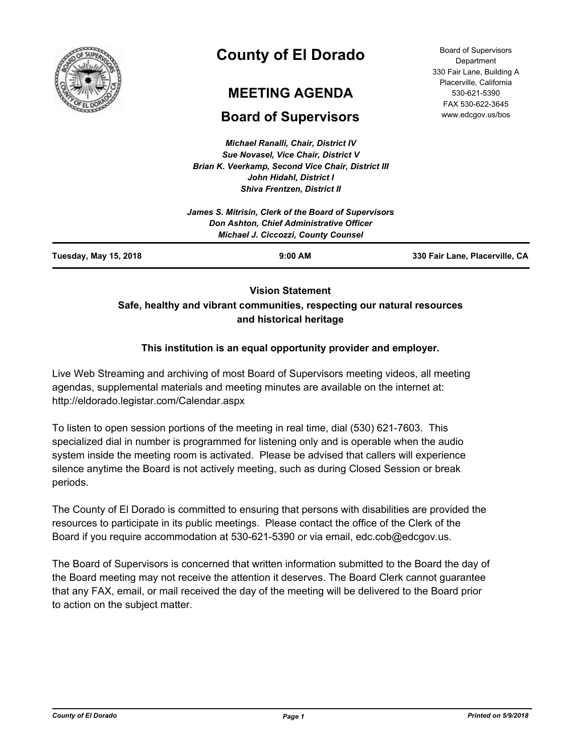

# **County of El Dorado**

## **MEETING AGENDA**

## **Board of Supervisors**

*Michael Ranalli, Chair, District IV Sue Novasel, Vice Chair, District V Brian K. Veerkamp, Second Vice Chair, District III John Hidahl, District I Shiva Frentzen, District II*

Board of Supervisors **Department** 330 Fair Lane, Building A Placerville, California 530-621-5390 FAX 530-622-3645 www.edcgov.us/bos

## **Vision Statement Safe, healthy and vibrant communities, respecting our natural resources and historical heritage**

## **This institution is an equal opportunity provider and employer.**

Live Web Streaming and archiving of most Board of Supervisors meeting videos, all meeting agendas, supplemental materials and meeting minutes are available on the internet at: http://eldorado.legistar.com/Calendar.aspx

To listen to open session portions of the meeting in real time, dial (530) 621-7603. This specialized dial in number is programmed for listening only and is operable when the audio system inside the meeting room is activated. Please be advised that callers will experience silence anytime the Board is not actively meeting, such as during Closed Session or break periods.

The County of El Dorado is committed to ensuring that persons with disabilities are provided the resources to participate in its public meetings. Please contact the office of the Clerk of the Board if you require accommodation at 530-621-5390 or via email, edc.cob@edcgov.us.

The Board of Supervisors is concerned that written information submitted to the Board the day of the Board meeting may not receive the attention it deserves. The Board Clerk cannot guarantee that any FAX, email, or mail received the day of the meeting will be delivered to the Board prior to action on the subject matter.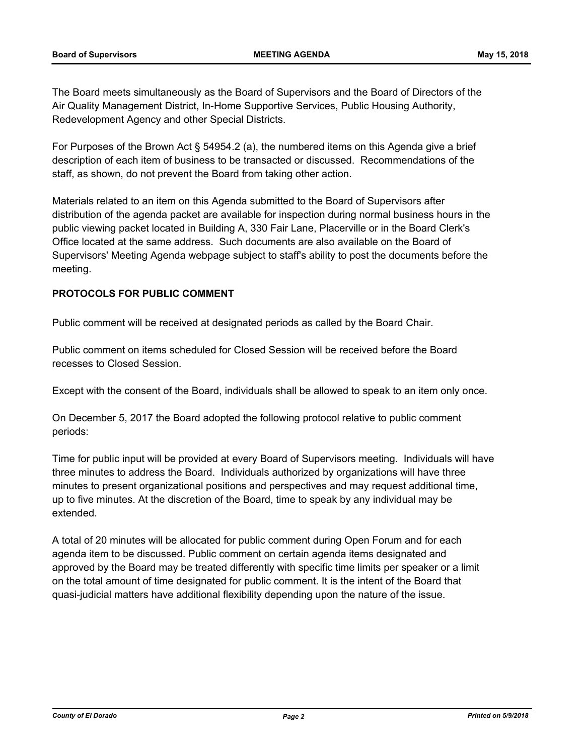The Board meets simultaneously as the Board of Supervisors and the Board of Directors of the Air Quality Management District, In-Home Supportive Services, Public Housing Authority, Redevelopment Agency and other Special Districts.

For Purposes of the Brown Act § 54954.2 (a), the numbered items on this Agenda give a brief description of each item of business to be transacted or discussed. Recommendations of the staff, as shown, do not prevent the Board from taking other action.

Materials related to an item on this Agenda submitted to the Board of Supervisors after distribution of the agenda packet are available for inspection during normal business hours in the public viewing packet located in Building A, 330 Fair Lane, Placerville or in the Board Clerk's Office located at the same address. Such documents are also available on the Board of Supervisors' Meeting Agenda webpage subject to staff's ability to post the documents before the meeting.

### **PROTOCOLS FOR PUBLIC COMMENT**

Public comment will be received at designated periods as called by the Board Chair.

Public comment on items scheduled for Closed Session will be received before the Board recesses to Closed Session.

Except with the consent of the Board, individuals shall be allowed to speak to an item only once.

On December 5, 2017 the Board adopted the following protocol relative to public comment periods:

Time for public input will be provided at every Board of Supervisors meeting. Individuals will have three minutes to address the Board. Individuals authorized by organizations will have three minutes to present organizational positions and perspectives and may request additional time, up to five minutes. At the discretion of the Board, time to speak by any individual may be extended.

A total of 20 minutes will be allocated for public comment during Open Forum and for each agenda item to be discussed. Public comment on certain agenda items designated and approved by the Board may be treated differently with specific time limits per speaker or a limit on the total amount of time designated for public comment. It is the intent of the Board that quasi-judicial matters have additional flexibility depending upon the nature of the issue.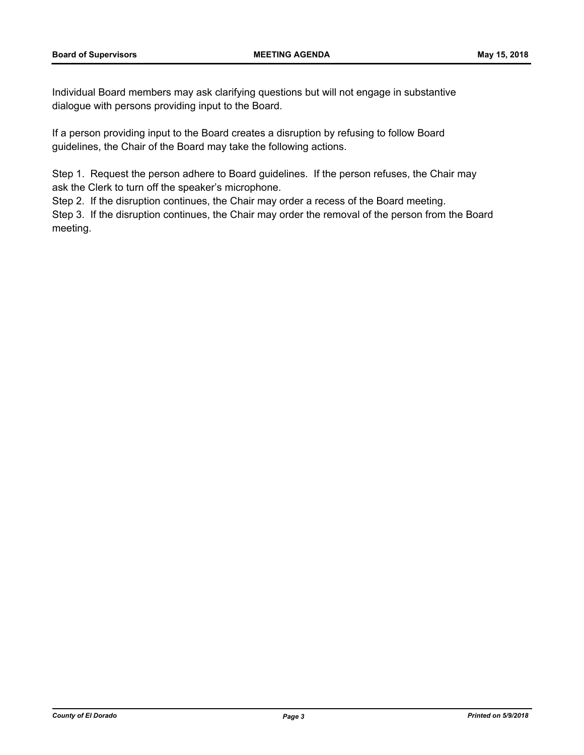Individual Board members may ask clarifying questions but will not engage in substantive dialogue with persons providing input to the Board.

If a person providing input to the Board creates a disruption by refusing to follow Board guidelines, the Chair of the Board may take the following actions.

Step 1. Request the person adhere to Board guidelines. If the person refuses, the Chair may ask the Clerk to turn off the speaker's microphone.

Step 2. If the disruption continues, the Chair may order a recess of the Board meeting.

Step 3. If the disruption continues, the Chair may order the removal of the person from the Board meeting.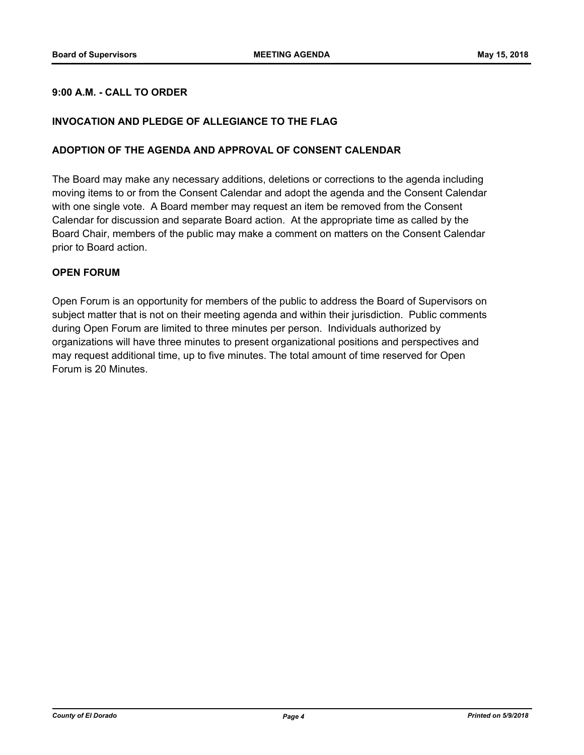### **9:00 A.M. - CALL TO ORDER**

#### **INVOCATION AND PLEDGE OF ALLEGIANCE TO THE FLAG**

#### **ADOPTION OF THE AGENDA AND APPROVAL OF CONSENT CALENDAR**

The Board may make any necessary additions, deletions or corrections to the agenda including moving items to or from the Consent Calendar and adopt the agenda and the Consent Calendar with one single vote. A Board member may request an item be removed from the Consent Calendar for discussion and separate Board action. At the appropriate time as called by the Board Chair, members of the public may make a comment on matters on the Consent Calendar prior to Board action.

#### **OPEN FORUM**

Open Forum is an opportunity for members of the public to address the Board of Supervisors on subject matter that is not on their meeting agenda and within their jurisdiction. Public comments during Open Forum are limited to three minutes per person. Individuals authorized by organizations will have three minutes to present organizational positions and perspectives and may request additional time, up to five minutes. The total amount of time reserved for Open Forum is 20 Minutes.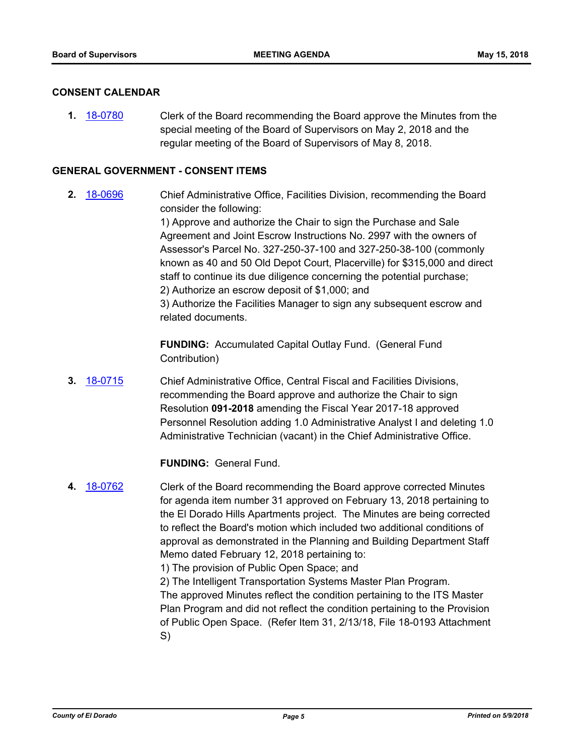#### **CONSENT CALENDAR**

**1.** [18-0780](http://eldorado.legistar.com/gateway.aspx?m=l&id=/matter.aspx?key=24127) Clerk of the Board recommending the Board approve the Minutes from the special meeting of the Board of Supervisors on May 2, 2018 and the regular meeting of the Board of Supervisors of May 8, 2018.

#### **GENERAL GOVERNMENT - CONSENT ITEMS**

**2.** [18-0696](http://eldorado.legistar.com/gateway.aspx?m=l&id=/matter.aspx?key=24040) Chief Administrative Office, Facilities Division, recommending the Board consider the following:

> 1) Approve and authorize the Chair to sign the Purchase and Sale Agreement and Joint Escrow Instructions No. 2997 with the owners of Assessor's Parcel No. 327-250-37-100 and 327-250-38-100 (commonly known as 40 and 50 Old Depot Court, Placerville) for \$315,000 and direct staff to continue its due diligence concerning the potential purchase; 2) Authorize an escrow deposit of \$1,000; and

3) Authorize the Facilities Manager to sign any subsequent escrow and related documents.

**FUNDING:** Accumulated Capital Outlay Fund. (General Fund Contribution)

**3.** [18-0715](http://eldorado.legistar.com/gateway.aspx?m=l&id=/matter.aspx?key=24059) Chief Administrative Office, Central Fiscal and Facilities Divisions, recommending the Board approve and authorize the Chair to sign Resolution **091-2018** amending the Fiscal Year 2017-18 approved Personnel Resolution adding 1.0 Administrative Analyst I and deleting 1.0 Administrative Technician (vacant) in the Chief Administrative Office.

#### **FUNDING:** General Fund.

**4.** [18-0762](http://eldorado.legistar.com/gateway.aspx?m=l&id=/matter.aspx?key=24109) Clerk of the Board recommending the Board approve corrected Minutes for agenda item number 31 approved on February 13, 2018 pertaining to the El Dorado Hills Apartments project. The Minutes are being corrected to reflect the Board's motion which included two additional conditions of approval as demonstrated in the Planning and Building Department Staff Memo dated February 12, 2018 pertaining to: 1) The provision of Public Open Space; and

> 2) The Intelligent Transportation Systems Master Plan Program. The approved Minutes reflect the condition pertaining to the ITS Master Plan Program and did not reflect the condition pertaining to the Provision of Public Open Space. (Refer Item 31, 2/13/18, File 18-0193 Attachment S)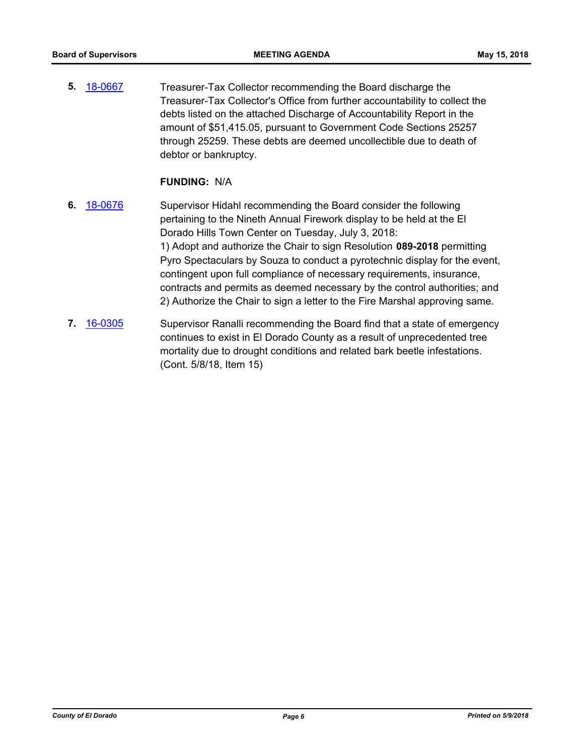**5.** [18-0667](http://eldorado.legistar.com/gateway.aspx?m=l&id=/matter.aspx?key=24012) Treasurer-Tax Collector recommending the Board discharge the Treasurer-Tax Collector's Office from further accountability to collect the debts listed on the attached Discharge of Accountability Report in the amount of \$51,415.05, pursuant to Government Code Sections 25257 through 25259. These debts are deemed uncollectible due to death of debtor or bankruptcy.

#### **FUNDING:** N/A

- **6.** [18-0676](http://eldorado.legistar.com/gateway.aspx?m=l&id=/matter.aspx?key=24021) Supervisor Hidahl recommending the Board consider the following pertaining to the Nineth Annual Firework display to be held at the El Dorado Hills Town Center on Tuesday, July 3, 2018: 1) Adopt and authorize the Chair to sign Resolution **089-2018** permitting Pyro Spectaculars by Souza to conduct a pyrotechnic display for the event, contingent upon full compliance of necessary requirements, insurance, contracts and permits as deemed necessary by the control authorities; and 2) Authorize the Chair to sign a letter to the Fire Marshal approving same.
- **7.** [16-0305](http://eldorado.legistar.com/gateway.aspx?m=l&id=/matter.aspx?key=20961) Supervisor Ranalli recommending the Board find that a state of emergency continues to exist in El Dorado County as a result of unprecedented tree mortality due to drought conditions and related bark beetle infestations. (Cont. 5/8/18, Item 15)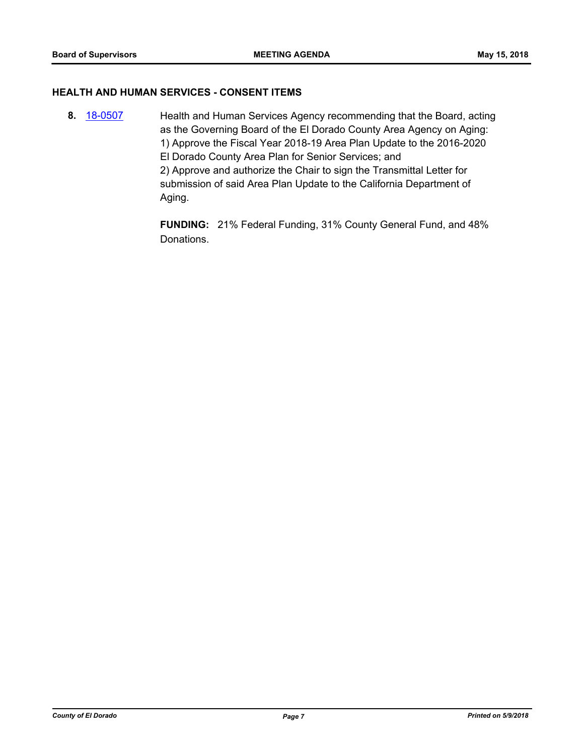#### **HEALTH AND HUMAN SERVICES - CONSENT ITEMS**

**8.** [18-0507](http://eldorado.legistar.com/gateway.aspx?m=l&id=/matter.aspx?key=23852) Health and Human Services Agency recommending that the Board, acting as the Governing Board of the El Dorado County Area Agency on Aging: 1) Approve the Fiscal Year 2018-19 Area Plan Update to the 2016-2020 El Dorado County Area Plan for Senior Services; and 2) Approve and authorize the Chair to sign the Transmittal Letter for submission of said Area Plan Update to the California Department of Aging.

> **FUNDING:** 21% Federal Funding, 31% County General Fund, and 48% Donations.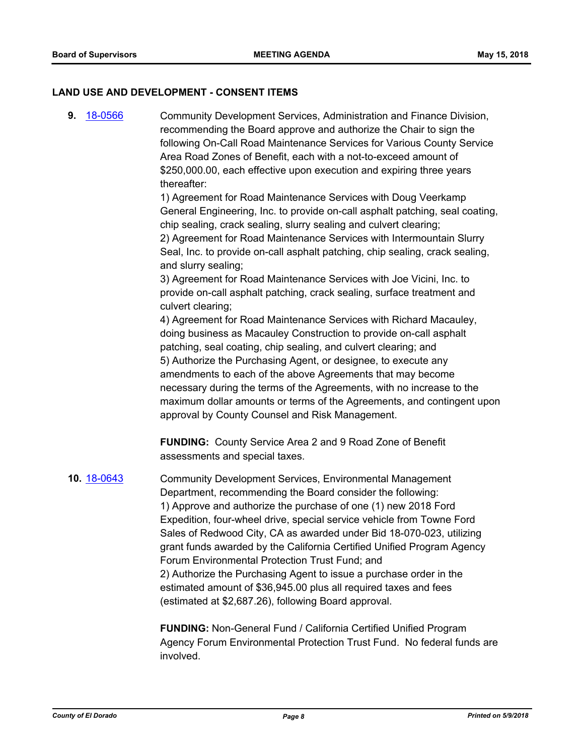#### **LAND USE AND DEVELOPMENT - CONSENT ITEMS**

**9.** [18-0566](http://eldorado.legistar.com/gateway.aspx?m=l&id=/matter.aspx?key=23911) Community Development Services, Administration and Finance Division, recommending the Board approve and authorize the Chair to sign the following On-Call Road Maintenance Services for Various County Service Area Road Zones of Benefit, each with a not-to-exceed amount of \$250,000.00, each effective upon execution and expiring three years thereafter: 1) Agreement for Road Maintenance Services with Doug Veerkamp General Engineering, Inc. to provide on-call asphalt patching, seal coating, chip sealing, crack sealing, slurry sealing and culvert clearing; 2) Agreement for Road Maintenance Services with Intermountain Slurry Seal, Inc. to provide on-call asphalt patching, chip sealing, crack sealing, and slurry sealing; 3) Agreement for Road Maintenance Services with Joe Vicini, Inc. to provide on-call asphalt patching, crack sealing, surface treatment and culvert clearing; 4) Agreement for Road Maintenance Services with Richard Macauley, doing business as Macauley Construction to provide on-call asphalt patching, seal coating, chip sealing, and culvert clearing; and 5) Authorize the Purchasing Agent, or designee, to execute any amendments to each of the above Agreements that may become necessary during the terms of the Agreements, with no increase to the maximum dollar amounts or terms of the Agreements, and contingent upon approval by County Counsel and Risk Management. **FUNDING:** County Service Area 2 and 9 Road Zone of Benefit assessments and special taxes. **10.** [18-0643](http://eldorado.legistar.com/gateway.aspx?m=l&id=/matter.aspx?key=23988) Community Development Services, Environmental Management Department, recommending the Board consider the following: 1) Approve and authorize the purchase of one (1) new 2018 Ford Expedition, four-wheel drive, special service vehicle from Towne Ford Sales of Redwood City, CA as awarded under Bid 18-070-023, utilizing grant funds awarded by the California Certified Unified Program Agency Forum Environmental Protection Trust Fund; and 2) Authorize the Purchasing Agent to issue a purchase order in the estimated amount of \$36,945.00 plus all required taxes and fees (estimated at \$2,687.26), following Board approval.

> **FUNDING:** Non-General Fund / California Certified Unified Program Agency Forum Environmental Protection Trust Fund. No federal funds are involved.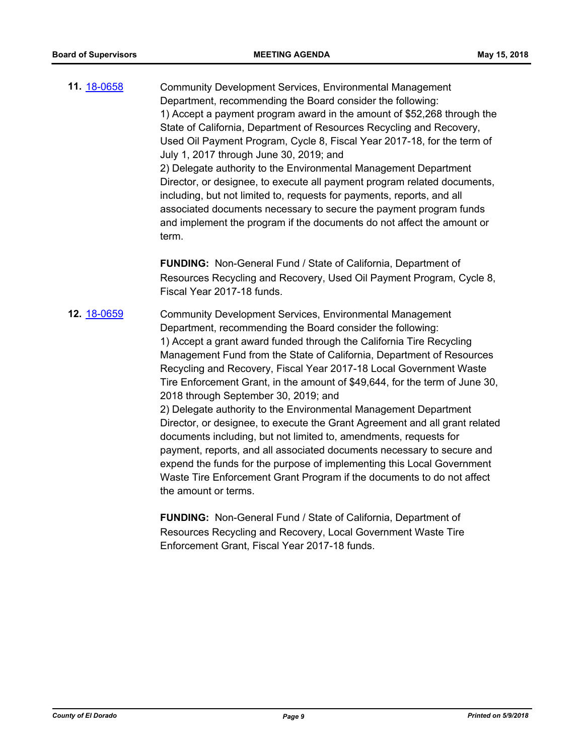**11.** [18-0658](http://eldorado.legistar.com/gateway.aspx?m=l&id=/matter.aspx?key=24003) Community Development Services, Environmental Management Department, recommending the Board consider the following: 1) Accept a payment program award in the amount of \$52,268 through the State of California, Department of Resources Recycling and Recovery, Used Oil Payment Program, Cycle 8, Fiscal Year 2017-18, for the term of July 1, 2017 through June 30, 2019; and 2) Delegate authority to the Environmental Management Department Director, or designee, to execute all payment program related documents, including, but not limited to, requests for payments, reports, and all associated documents necessary to secure the payment program funds and implement the program if the documents do not affect the amount or term.

> **FUNDING:** Non-General Fund / State of California, Department of Resources Recycling and Recovery, Used Oil Payment Program, Cycle 8, Fiscal Year 2017-18 funds.

**12.** [18-0659](http://eldorado.legistar.com/gateway.aspx?m=l&id=/matter.aspx?key=24004) Community Development Services, Environmental Management Department, recommending the Board consider the following: 1) Accept a grant award funded through the California Tire Recycling Management Fund from the State of California, Department of Resources Recycling and Recovery, Fiscal Year 2017-18 Local Government Waste Tire Enforcement Grant, in the amount of \$49,644, for the term of June 30, 2018 through September 30, 2019; and

2) Delegate authority to the Environmental Management Department Director, or designee, to execute the Grant Agreement and all grant related documents including, but not limited to, amendments, requests for payment, reports, and all associated documents necessary to secure and expend the funds for the purpose of implementing this Local Government Waste Tire Enforcement Grant Program if the documents to do not affect the amount or terms.

**FUNDING:** Non-General Fund / State of California, Department of Resources Recycling and Recovery, Local Government Waste Tire Enforcement Grant, Fiscal Year 2017-18 funds.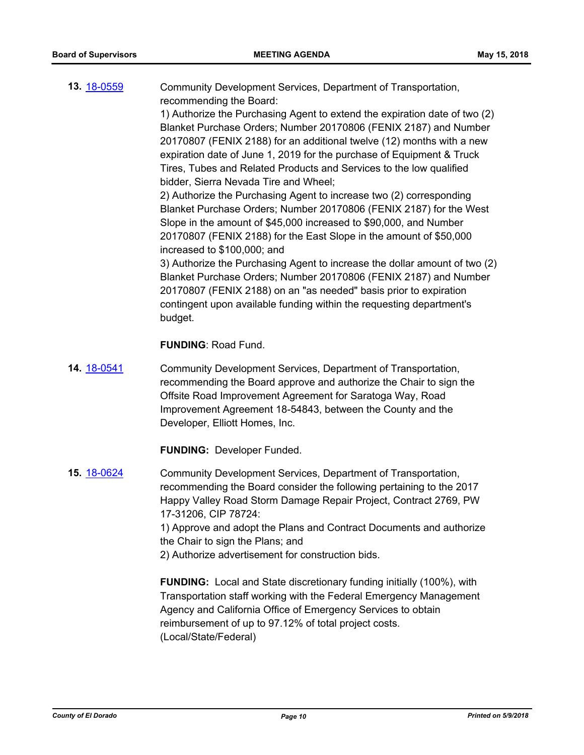**13.** [18-0559](http://eldorado.legistar.com/gateway.aspx?m=l&id=/matter.aspx?key=23904) Community Development Services, Department of Transportation, recommending the Board:

1) Authorize the Purchasing Agent to extend the expiration date of two (2) Blanket Purchase Orders; Number 20170806 (FENIX 2187) and Number 20170807 (FENIX 2188) for an additional twelve (12) months with a new expiration date of June 1, 2019 for the purchase of Equipment & Truck Tires, Tubes and Related Products and Services to the low qualified bidder, Sierra Nevada Tire and Wheel;

2) Authorize the Purchasing Agent to increase two (2) corresponding Blanket Purchase Orders; Number 20170806 (FENIX 2187) for the West Slope in the amount of \$45,000 increased to \$90,000, and Number 20170807 (FENIX 2188) for the East Slope in the amount of \$50,000 increased to \$100,000; and

3) Authorize the Purchasing Agent to increase the dollar amount of two (2) Blanket Purchase Orders; Number 20170806 (FENIX 2187) and Number 20170807 (FENIX 2188) on an "as needed" basis prior to expiration contingent upon available funding within the requesting department's budget.

#### **FUNDING**: Road Fund.

**14.** [18-0541](http://eldorado.legistar.com/gateway.aspx?m=l&id=/matter.aspx?key=23886) Community Development Services, Department of Transportation, recommending the Board approve and authorize the Chair to sign the Offsite Road Improvement Agreement for Saratoga Way, Road Improvement Agreement 18-54843, between the County and the Developer, Elliott Homes, Inc.

**FUNDING:** Developer Funded.

**15.** [18-0624](http://eldorado.legistar.com/gateway.aspx?m=l&id=/matter.aspx?key=23969) Community Development Services, Department of Transportation, recommending the Board consider the following pertaining to the 2017 Happy Valley Road Storm Damage Repair Project, Contract 2769, PW 17-31206, CIP 78724:

1) Approve and adopt the Plans and Contract Documents and authorize the Chair to sign the Plans; and

2) Authorize advertisement for construction bids.

**FUNDING:** Local and State discretionary funding initially (100%), with Transportation staff working with the Federal Emergency Management Agency and California Office of Emergency Services to obtain reimbursement of up to 97.12% of total project costs. (Local/State/Federal)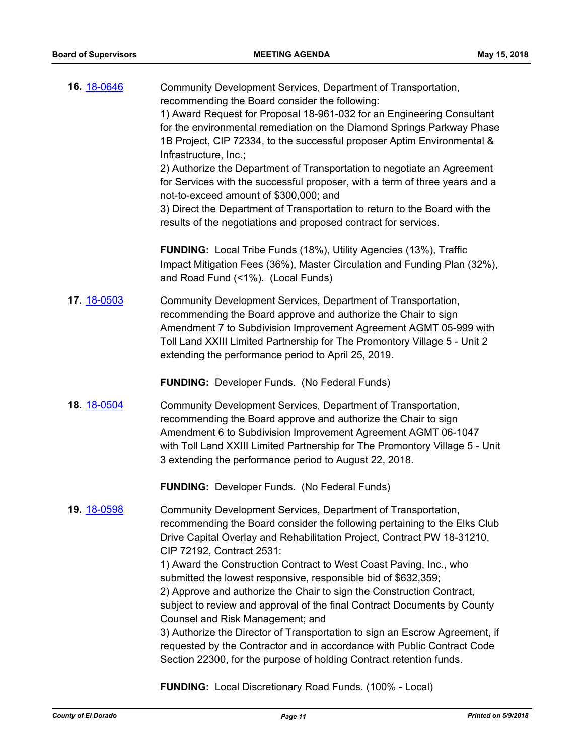| 16. 18-0646 | Community Development Services, Department of Transportation,<br>recommending the Board consider the following:<br>1) Award Request for Proposal 18-961-032 for an Engineering Consultant<br>for the environmental remediation on the Diamond Springs Parkway Phase<br>1B Project, CIP 72334, to the successful proposer Aptim Environmental &<br>Infrastructure, Inc.;<br>2) Authorize the Department of Transportation to negotiate an Agreement<br>for Services with the successful proposer, with a term of three years and a<br>not-to-exceed amount of \$300,000; and<br>3) Direct the Department of Transportation to return to the Board with the<br>results of the negotiations and proposed contract for services.                                                                                         |
|-------------|----------------------------------------------------------------------------------------------------------------------------------------------------------------------------------------------------------------------------------------------------------------------------------------------------------------------------------------------------------------------------------------------------------------------------------------------------------------------------------------------------------------------------------------------------------------------------------------------------------------------------------------------------------------------------------------------------------------------------------------------------------------------------------------------------------------------|
|             | <b>FUNDING:</b> Local Tribe Funds (18%), Utility Agencies (13%), Traffic<br>Impact Mitigation Fees (36%), Master Circulation and Funding Plan (32%),<br>and Road Fund (<1%). (Local Funds)                                                                                                                                                                                                                                                                                                                                                                                                                                                                                                                                                                                                                           |
| 17. 18-0503 | Community Development Services, Department of Transportation,<br>recommending the Board approve and authorize the Chair to sign<br>Amendment 7 to Subdivision Improvement Agreement AGMT 05-999 with<br>Toll Land XXIII Limited Partnership for The Promontory Village 5 - Unit 2<br>extending the performance period to April 25, 2019.                                                                                                                                                                                                                                                                                                                                                                                                                                                                             |
|             | <b>FUNDING:</b> Developer Funds. (No Federal Funds)                                                                                                                                                                                                                                                                                                                                                                                                                                                                                                                                                                                                                                                                                                                                                                  |
| 18. 18-0504 | Community Development Services, Department of Transportation,<br>recommending the Board approve and authorize the Chair to sign<br>Amendment 6 to Subdivision Improvement Agreement AGMT 06-1047<br>with Toll Land XXIII Limited Partnership for The Promontory Village 5 - Unit<br>3 extending the performance period to August 22, 2018.                                                                                                                                                                                                                                                                                                                                                                                                                                                                           |
|             | <b>FUNDING:</b> Developer Funds. (No Federal Funds)                                                                                                                                                                                                                                                                                                                                                                                                                                                                                                                                                                                                                                                                                                                                                                  |
| 19. 18-0598 | Community Development Services, Department of Transportation,<br>recommending the Board consider the following pertaining to the Elks Club<br>Drive Capital Overlay and Rehabilitation Project, Contract PW 18-31210,<br>CIP 72192, Contract 2531:<br>1) Award the Construction Contract to West Coast Paving, Inc., who<br>submitted the lowest responsive, responsible bid of \$632,359;<br>2) Approve and authorize the Chair to sign the Construction Contract,<br>subject to review and approval of the final Contract Documents by County<br>Counsel and Risk Management; and<br>3) Authorize the Director of Transportation to sign an Escrow Agreement, if<br>requested by the Contractor and in accordance with Public Contract Code<br>Section 22300, for the purpose of holding Contract retention funds. |
|             |                                                                                                                                                                                                                                                                                                                                                                                                                                                                                                                                                                                                                                                                                                                                                                                                                      |

**FUNDING:** Local Discretionary Road Funds. (100% - Local)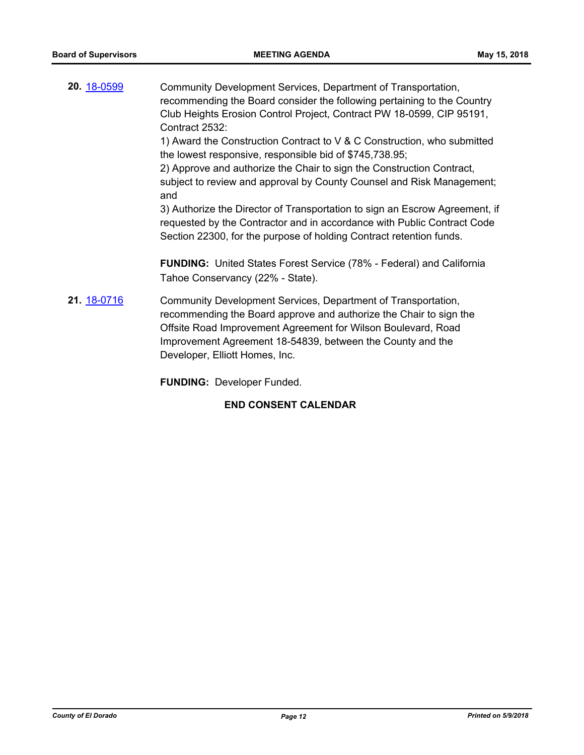**20.** [18-0599](http://eldorado.legistar.com/gateway.aspx?m=l&id=/matter.aspx?key=23944) Community Development Services, Department of Transportation, recommending the Board consider the following pertaining to the Country Club Heights Erosion Control Project, Contract PW 18-0599, CIP 95191, Contract 2532: 1) Award the Construction Contract to V & C Construction, who submitted the lowest responsive, responsible bid of \$745,738.95; 2) Approve and authorize the Chair to sign the Construction Contract, subject to review and approval by County Counsel and Risk Management; and 3) Authorize the Director of Transportation to sign an Escrow Agreement, if requested by the Contractor and in accordance with Public Contract Code Section 22300, for the purpose of holding Contract retention funds. **FUNDING:** United States Forest Service (78% - Federal) and California Tahoe Conservancy (22% - State). **21.** [18-0716](http://eldorado.legistar.com/gateway.aspx?m=l&id=/matter.aspx?key=24060) Community Development Services, Department of Transportation, recommending the Board approve and authorize the Chair to sign the Offsite Road Improvement Agreement for Wilson Boulevard, Road Improvement Agreement 18-54839, between the County and the Developer, Elliott Homes, Inc.

**FUNDING:** Developer Funded.

#### **END CONSENT CALENDAR**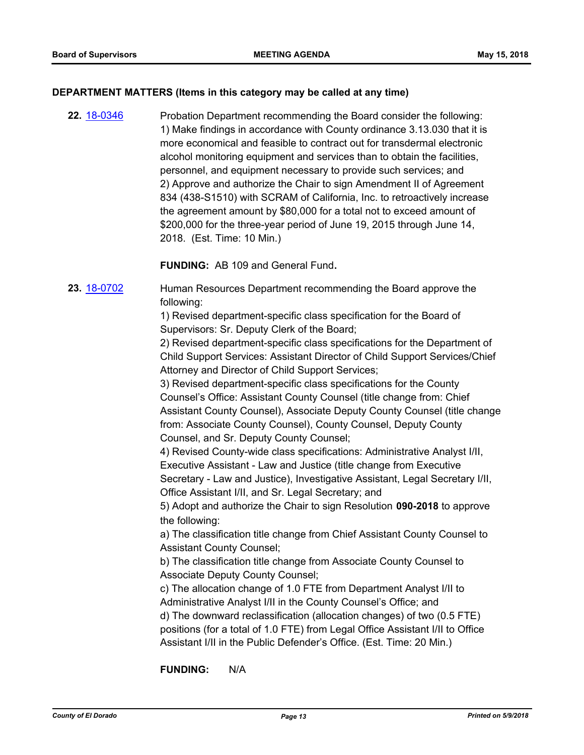#### **DEPARTMENT MATTERS (Items in this category may be called at any time)**

**22.** [18-0346](http://eldorado.legistar.com/gateway.aspx?m=l&id=/matter.aspx?key=23689) Probation Department recommending the Board consider the following: 1) Make findings in accordance with County ordinance 3.13.030 that it is more economical and feasible to contract out for transdermal electronic alcohol monitoring equipment and services than to obtain the facilities, personnel, and equipment necessary to provide such services; and 2) Approve and authorize the Chair to sign Amendment II of Agreement 834 (438-S1510) with SCRAM of California, Inc. to retroactively increase the agreement amount by \$80,000 for a total not to exceed amount of \$200,000 for the three-year period of June 19, 2015 through June 14, 2018. (Est. Time: 10 Min.)

**FUNDING:** AB 109 and General Fund**.**

**23.** [18-0702](http://eldorado.legistar.com/gateway.aspx?m=l&id=/matter.aspx?key=24046) Human Resources Department recommending the Board approve the following:

> 1) Revised department-specific class specification for the Board of Supervisors: Sr. Deputy Clerk of the Board;

2) Revised department-specific class specifications for the Department of Child Support Services: Assistant Director of Child Support Services/Chief Attorney and Director of Child Support Services;

3) Revised department-specific class specifications for the County Counsel's Office: Assistant County Counsel (title change from: Chief Assistant County Counsel), Associate Deputy County Counsel (title change from: Associate County Counsel), County Counsel, Deputy County Counsel, and Sr. Deputy County Counsel;

4) Revised County-wide class specifications: Administrative Analyst I/II, Executive Assistant - Law and Justice (title change from Executive Secretary - Law and Justice), Investigative Assistant, Legal Secretary I/II, Office Assistant I/II, and Sr. Legal Secretary; and

5) Adopt and authorize the Chair to sign Resolution **090-2018** to approve the following:

a) The classification title change from Chief Assistant County Counsel to Assistant County Counsel;

b) The classification title change from Associate County Counsel to Associate Deputy County Counsel;

c) The allocation change of 1.0 FTE from Department Analyst I/II to Administrative Analyst I/II in the County Counsel's Office; and

d) The downward reclassification (allocation changes) of two (0.5 FTE) positions (for a total of 1.0 FTE) from Legal Office Assistant I/II to Office Assistant I/II in the Public Defender's Office. (Est. Time: 20 Min.)

**FUNDING:** N/A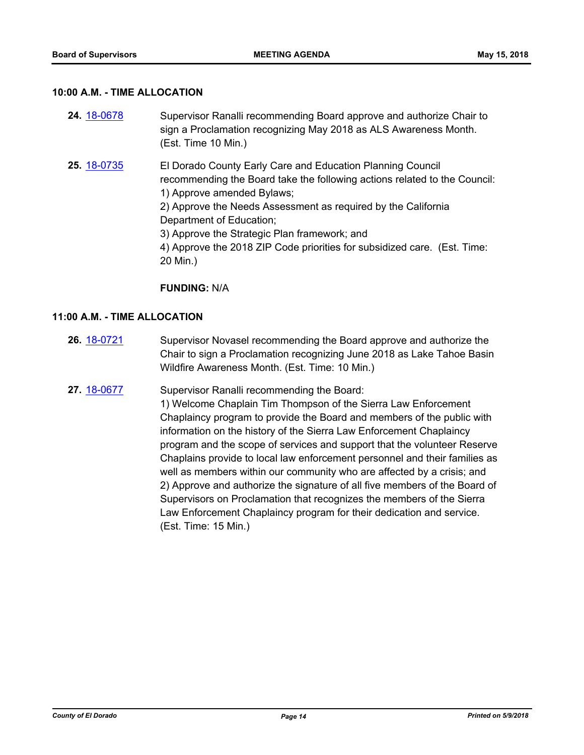#### **10:00 A.M. - TIME ALLOCATION**

| <b>24 18-0678</b> | Supervisor Ranalli recommending Board approve and authorize Chair to |
|-------------------|----------------------------------------------------------------------|
|                   | sign a Proclamation recognizing May 2018 as ALS Awareness Month.     |
|                   | (Est. Time 10 Min.)                                                  |
|                   |                                                                      |

**25.** [18-0735](http://eldorado.legistar.com/gateway.aspx?m=l&id=/matter.aspx?key=24082) El Dorado County Early Care and Education Planning Council recommending the Board take the following actions related to the Council: 1) Approve amended Bylaws; 2) Approve the Needs Assessment as required by the California Department of Education; 3) Approve the Strategic Plan framework; and 4) Approve the 2018 ZIP Code priorities for subsidized care. (Est. Time:

**FUNDING:** N/A

20 Min.)

#### **11:00 A.M. - TIME ALLOCATION**

- **26.** [18-0721](http://eldorado.legistar.com/gateway.aspx?m=l&id=/matter.aspx?key=24067) Supervisor Novasel recommending the Board approve and authorize the Chair to sign a Proclamation recognizing June 2018 as Lake Tahoe Basin Wildfire Awareness Month. (Est. Time: 10 Min.)
- 27. [18-0677](http://eldorado.legistar.com/gateway.aspx?m=l&id=/matter.aspx?key=24022) Supervisor Ranalli recommending the Board: 1) Welcome Chaplain Tim Thompson of the Sierra Law Enforcement Chaplaincy program to provide the Board and members of the public with information on the history of the Sierra Law Enforcement Chaplaincy program and the scope of services and support that the volunteer Reserve Chaplains provide to local law enforcement personnel and their families as well as members within our community who are affected by a crisis; and 2) Approve and authorize the signature of all five members of the Board of Supervisors on Proclamation that recognizes the members of the Sierra Law Enforcement Chaplaincy program for their dedication and service. (Est. Time: 15 Min.)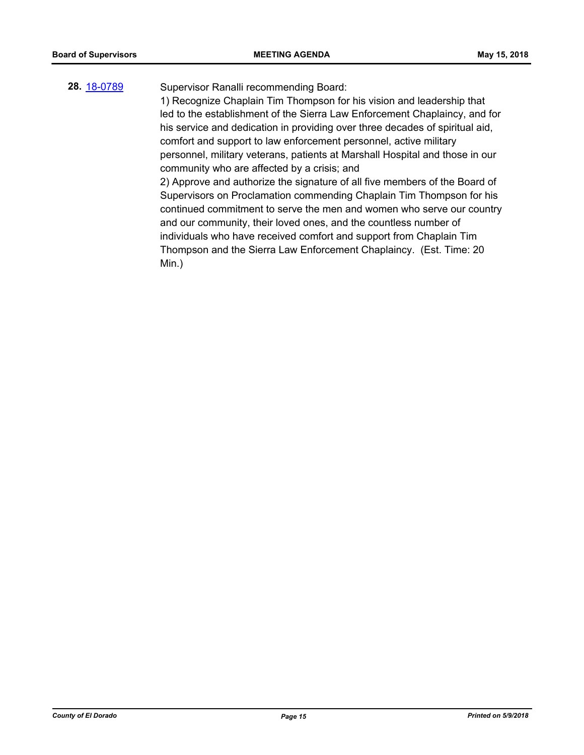#### **28.** [18-0789](http://eldorado.legistar.com/gateway.aspx?m=l&id=/matter.aspx?key=24136) Supervisor Ranalli recommending Board:

1) Recognize Chaplain Tim Thompson for his vision and leadership that led to the establishment of the Sierra Law Enforcement Chaplaincy, and for his service and dedication in providing over three decades of spiritual aid, comfort and support to law enforcement personnel, active military personnel, military veterans, patients at Marshall Hospital and those in our community who are affected by a crisis; and 2) Approve and authorize the signature of all five members of the Board of

Supervisors on Proclamation commending Chaplain Tim Thompson for his continued commitment to serve the men and women who serve our country and our community, their loved ones, and the countless number of individuals who have received comfort and support from Chaplain Tim Thompson and the Sierra Law Enforcement Chaplaincy. (Est. Time: 20 Min.)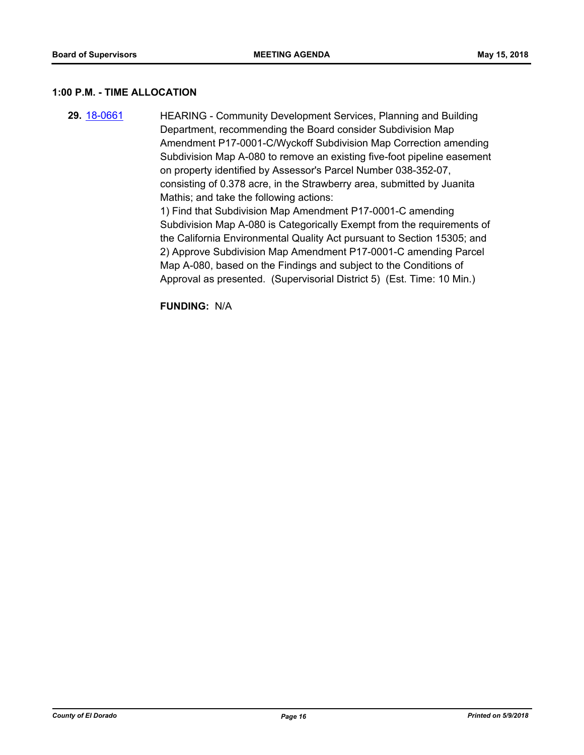#### **1:00 P.M. - TIME ALLOCATION**

**29.** [18-0661](http://eldorado.legistar.com/gateway.aspx?m=l&id=/matter.aspx?key=24006) HEARING - Community Development Services, Planning and Building Department, recommending the Board consider Subdivision Map Amendment P17-0001-C/Wyckoff Subdivision Map Correction amending Subdivision Map A-080 to remove an existing five-foot pipeline easement on property identified by Assessor's Parcel Number 038-352-07, consisting of 0.378 acre, in the Strawberry area, submitted by Juanita Mathis; and take the following actions: 1) Find that Subdivision Map Amendment P17-0001-C amending Subdivision Map A-080 is Categorically Exempt from the requirements of the California Environmental Quality Act pursuant to Section 15305; and 2) Approve Subdivision Map Amendment P17-0001-C amending Parcel Map A-080, based on the Findings and subject to the Conditions of Approval as presented. (Supervisorial District 5) (Est. Time: 10 Min.)

**FUNDING:** N/A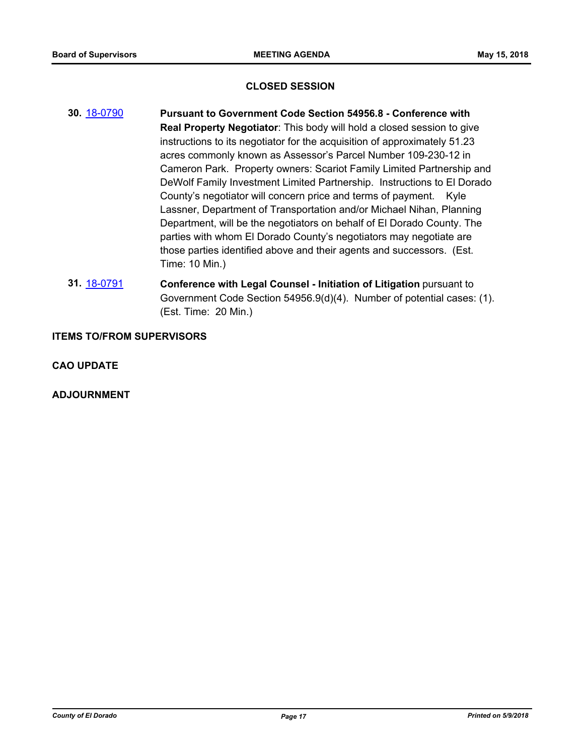#### **CLOSED SESSION**

- **30.** [18-0790](http://eldorado.legistar.com/gateway.aspx?m=l&id=/matter.aspx?key=24137) **Pursuant to Government Code Section 54956.8 Conference with Real Property Negotiator**: This body will hold a closed session to give instructions to its negotiator for the acquisition of approximately 51.23 acres commonly known as Assessor's Parcel Number 109-230-12 in Cameron Park. Property owners: Scariot Family Limited Partnership and DeWolf Family Investment Limited Partnership. Instructions to El Dorado County's negotiator will concern price and terms of payment. Kyle Lassner, Department of Transportation and/or Michael Nihan, Planning Department, will be the negotiators on behalf of El Dorado County. The parties with whom El Dorado County's negotiators may negotiate are those parties identified above and their agents and successors. (Est. Time: 10 Min.)
- **31.** [18-0791](http://eldorado.legistar.com/gateway.aspx?m=l&id=/matter.aspx?key=24138) **Conference with Legal Counsel Initiation of Litigation** pursuant to Government Code Section 54956.9(d)(4). Number of potential cases: (1). (Est. Time: 20 Min.)

#### **ITEMS TO/FROM SUPERVISORS**

**CAO UPDATE**

**ADJOURNMENT**